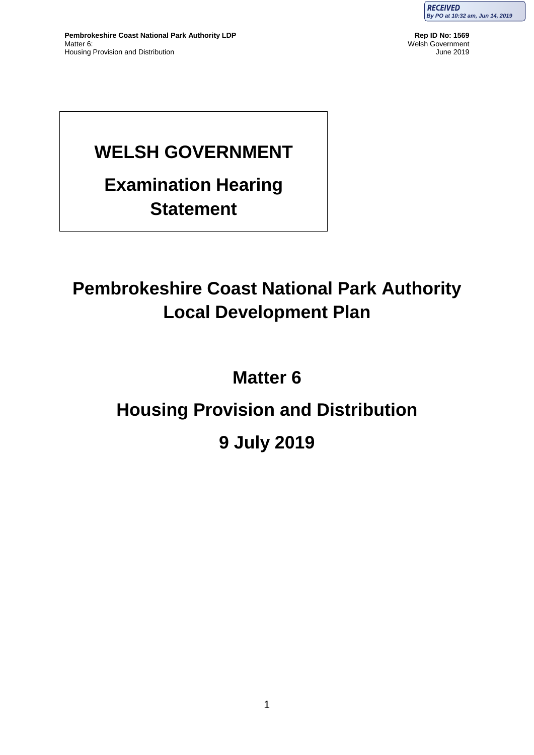

# **WELSH GOVERNMENT**

# **Examination Hearing Statement**

# **Pembrokeshire Coast National Park Authority Local Development Plan**

# **Matter 6**

# **Housing Provision and Distribution**

# **9 July 2019**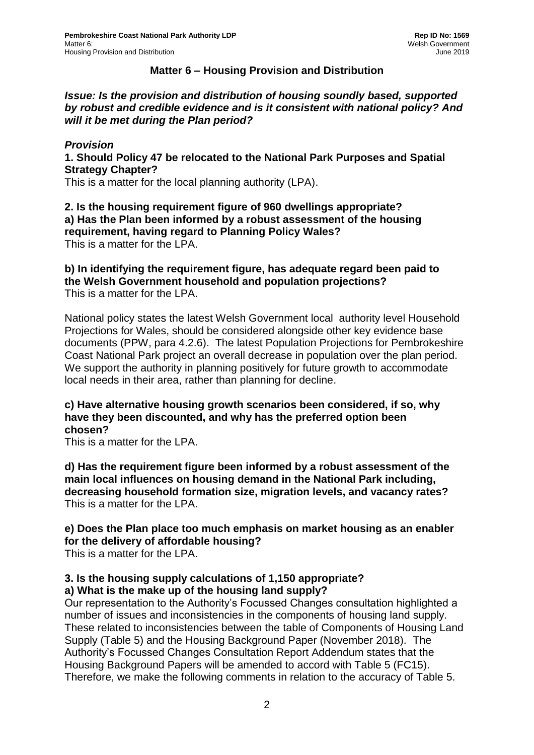### **Matter 6 – Housing Provision and Distribution**

*Issue: Is the provision and distribution of housing soundly based, supported by robust and credible evidence and is it consistent with national policy? And will it be met during the Plan period?*

#### *Provision*

**1. Should Policy 47 be relocated to the National Park Purposes and Spatial Strategy Chapter?**

This is a matter for the local planning authority (LPA).

**2. Is the housing requirement figure of 960 dwellings appropriate? a) Has the Plan been informed by a robust assessment of the housing requirement, having regard to Planning Policy Wales?** This is a matter for the LPA.

#### **b) In identifying the requirement figure, has adequate regard been paid to the Welsh Government household and population projections?** This is a matter for the LPA.

National policy states the latest Welsh Government local authority level Household Projections for Wales, should be considered alongside other key evidence base documents (PPW, para 4.2.6). The latest Population Projections for Pembrokeshire Coast National Park project an overall decrease in population over the plan period. We support the authority in planning positively for future growth to accommodate local needs in their area, rather than planning for decline.

### **c) Have alternative housing growth scenarios been considered, if so, why have they been discounted, and why has the preferred option been chosen?**

This is a matter for the LPA.

**d) Has the requirement figure been informed by a robust assessment of the main local influences on housing demand in the National Park including, decreasing household formation size, migration levels, and vacancy rates?** This is a matter for the LPA.

### **e) Does the Plan place too much emphasis on market housing as an enabler for the delivery of affordable housing?**

This is a matter for the LPA.

#### **3. Is the housing supply calculations of 1,150 appropriate? a) What is the make up of the housing land supply?**

Our representation to the Authority's Focussed Changes consultation highlighted a number of issues and inconsistencies in the components of housing land supply. These related to inconsistencies between the table of Components of Housing Land Supply (Table 5) and the Housing Background Paper (November 2018). The Authority's Focussed Changes Consultation Report Addendum states that the Housing Background Papers will be amended to accord with Table 5 (FC15). Therefore, we make the following comments in relation to the accuracy of Table 5.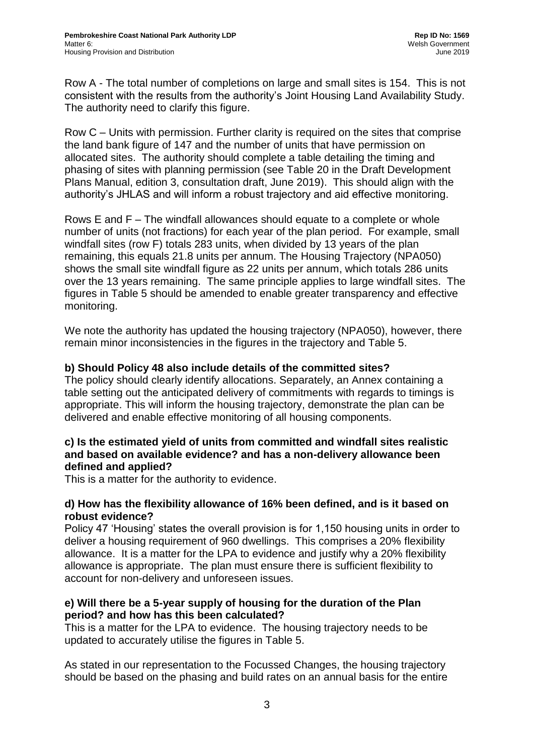Row A - The total number of completions on large and small sites is 154. This is not consistent with the results from the authority's Joint Housing Land Availability Study. The authority need to clarify this figure.

Row C – Units with permission. Further clarity is required on the sites that comprise the land bank figure of 147 and the number of units that have permission on allocated sites. The authority should complete a table detailing the timing and phasing of sites with planning permission (see Table 20 in the Draft Development Plans Manual, edition 3, consultation draft, June 2019). This should align with the authority's JHLAS and will inform a robust trajectory and aid effective monitoring.

Rows E and F – The windfall allowances should equate to a complete or whole number of units (not fractions) for each year of the plan period. For example, small windfall sites (row F) totals 283 units, when divided by 13 years of the plan remaining, this equals 21.8 units per annum. The Housing Trajectory (NPA050) shows the small site windfall figure as 22 units per annum, which totals 286 units over the 13 years remaining. The same principle applies to large windfall sites. The figures in Table 5 should be amended to enable greater transparency and effective monitoring.

We note the authority has updated the housing trajectory (NPA050), however, there remain minor inconsistencies in the figures in the trajectory and Table 5.

#### **b) Should Policy 48 also include details of the committed sites?**

The policy should clearly identify allocations. Separately, an Annex containing a table setting out the anticipated delivery of commitments with regards to timings is appropriate. This will inform the housing trajectory, demonstrate the plan can be delivered and enable effective monitoring of all housing components.

#### **c) Is the estimated yield of units from committed and windfall sites realistic and based on available evidence? and has a non-delivery allowance been defined and applied?**

This is a matter for the authority to evidence.

#### **d) How has the flexibility allowance of 16% been defined, and is it based on robust evidence?**

Policy 47 'Housing' states the overall provision is for 1,150 housing units in order to deliver a housing requirement of 960 dwellings. This comprises a 20% flexibility allowance. It is a matter for the LPA to evidence and justify why a 20% flexibility allowance is appropriate. The plan must ensure there is sufficient flexibility to account for non-delivery and unforeseen issues.

#### **e) Will there be a 5-year supply of housing for the duration of the Plan period? and how has this been calculated?**

This is a matter for the LPA to evidence. The housing trajectory needs to be updated to accurately utilise the figures in Table 5.

As stated in our representation to the Focussed Changes, the housing trajectory should be based on the phasing and build rates on an annual basis for the entire